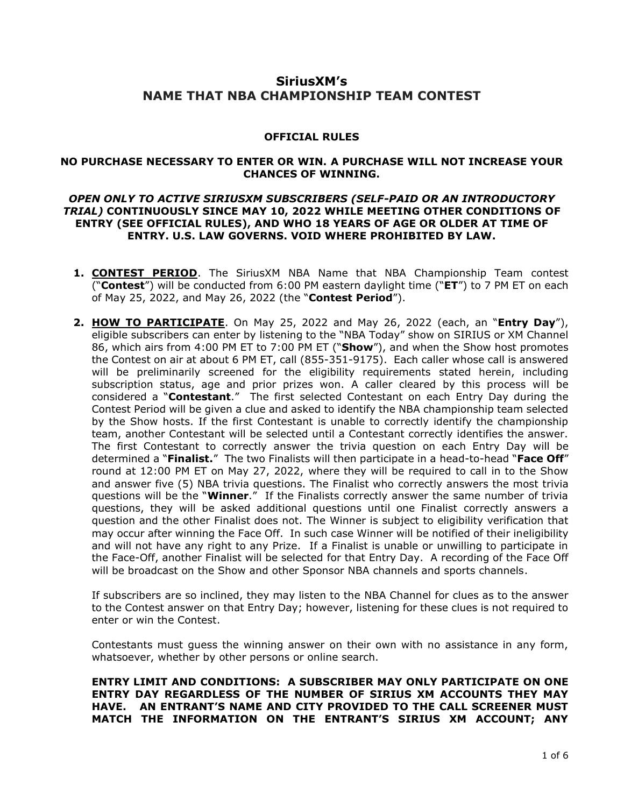# **SiriusXM's NAME THAT NBA CHAMPIONSHIP TEAM CONTEST**

# **OFFICIAL RULES**

### **NO PURCHASE NECESSARY TO ENTER OR WIN. A PURCHASE WILL NOT INCREASE YOUR CHANCES OF WINNING.**

## *OPEN ONLY TO ACTIVE SIRIUSXM SUBSCRIBERS (SELF-PAID OR AN INTRODUCTORY TRIAL)* **CONTINUOUSLY SINCE MAY 10, 2022 WHILE MEETING OTHER CONDITIONS OF ENTRY (SEE OFFICIAL RULES), AND WHO 18 YEARS OF AGE OR OLDER AT TIME OF ENTRY. U.S. LAW GOVERNS. VOID WHERE PROHIBITED BY LAW.**

- **1. CONTEST PERIOD**. The SiriusXM NBA Name that NBA Championship Team contest ("**Contest**") will be conducted from 6:00 PM eastern daylight time ("**ET**") to 7 PM ET on each of May 25, 2022, and May 26, 2022 (the "**Contest Period**").
- **2. HOW TO PARTICIPATE**. On May 25, 2022 and May 26, 2022 (each, an "**Entry Day**"), eligible subscribers can enter by listening to the "NBA Today" show on SIRIUS or XM Channel 86, which airs from 4:00 PM ET to 7:00 PM ET ("**Show**"), and when the Show host promotes the Contest on air at about 6 PM ET, call (855-351-9175). Each caller whose call is answered will be preliminarily screened for the eligibility requirements stated herein, including subscription status, age and prior prizes won. A caller cleared by this process will be considered a "**Contestant**." The first selected Contestant on each Entry Day during the Contest Period will be given a clue and asked to identify the NBA championship team selected by the Show hosts. If the first Contestant is unable to correctly identify the championship team, another Contestant will be selected until a Contestant correctly identifies the answer. The first Contestant to correctly answer the trivia question on each Entry Day will be determined a "**Finalist.**" The two Finalists will then participate in a head-to-head "**Face Off**" round at 12:00 PM ET on May 27, 2022, where they will be required to call in to the Show and answer five (5) NBA trivia questions. The Finalist who correctly answers the most trivia questions will be the "**Winner**." If the Finalists correctly answer the same number of trivia questions, they will be asked additional questions until one Finalist correctly answers a question and the other Finalist does not. The Winner is subject to eligibility verification that may occur after winning the Face Off. In such case Winner will be notified of their ineligibility and will not have any right to any Prize. If a Finalist is unable or unwilling to participate in the Face-Off, another Finalist will be selected for that Entry Day. A recording of the Face Off will be broadcast on the Show and other Sponsor NBA channels and sports channels.

If subscribers are so inclined, they may listen to the NBA Channel for clues as to the answer to the Contest answer on that Entry Day; however, listening for these clues is not required to enter or win the Contest.

Contestants must guess the winning answer on their own with no assistance in any form, whatsoever, whether by other persons or online search.

**ENTRY LIMIT AND CONDITIONS: A SUBSCRIBER MAY ONLY PARTICIPATE ON ONE ENTRY DAY REGARDLESS OF THE NUMBER OF SIRIUS XM ACCOUNTS THEY MAY HAVE. AN ENTRANT'S NAME AND CITY PROVIDED TO THE CALL SCREENER MUST MATCH THE INFORMATION ON THE ENTRANT'S SIRIUS XM ACCOUNT; ANY**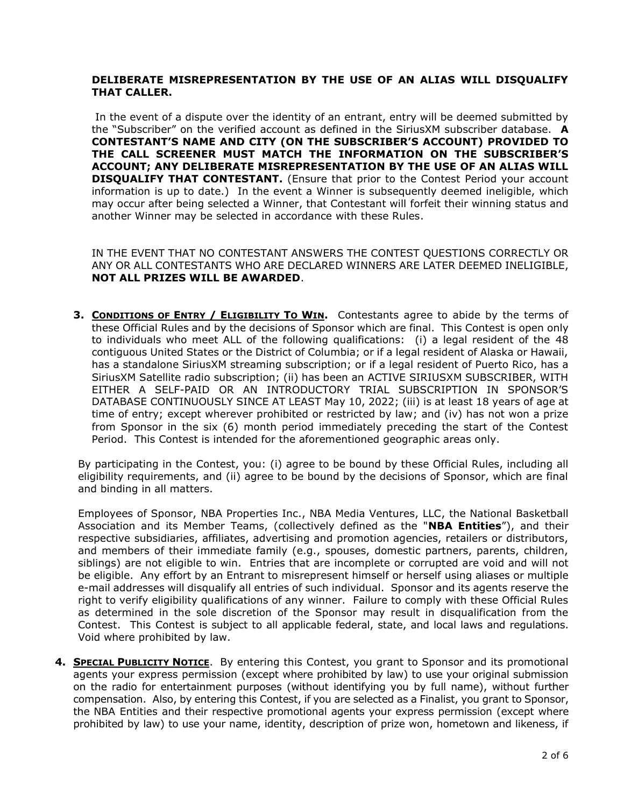# **DELIBERATE MISREPRESENTATION BY THE USE OF AN ALIAS WILL DISQUALIFY THAT CALLER.**

In the event of a dispute over the identity of an entrant, entry will be deemed submitted by the "Subscriber" on the verified account as defined in the SiriusXM subscriber database. **A CONTESTANT'S NAME AND CITY (ON THE SUBSCRIBER'S ACCOUNT) PROVIDED TO THE CALL SCREENER MUST MATCH THE INFORMATION ON THE SUBSCRIBER'S ACCOUNT; ANY DELIBERATE MISREPRESENTATION BY THE USE OF AN ALIAS WILL DISQUALIFY THAT CONTESTANT.** (Ensure that prior to the Contest Period your account information is up to date.) In the event a Winner is subsequently deemed ineligible, which may occur after being selected a Winner, that Contestant will forfeit their winning status and another Winner may be selected in accordance with these Rules.

IN THE EVENT THAT NO CONTESTANT ANSWERS THE CONTEST QUESTIONS CORRECTLY OR ANY OR ALL CONTESTANTS WHO ARE DECLARED WINNERS ARE LATER DEEMED INELIGIBLE, **NOT ALL PRIZES WILL BE AWARDED**.

**3. CONDITIONS OF ENTRY / ELIGIBILITY TO WIN.** Contestants agree to abide by the terms of these Official Rules and by the decisions of Sponsor which are final. This Contest is open only to individuals who meet ALL of the following qualifications: (i) a legal resident of the 48 contiguous United States or the District of Columbia; or if a legal resident of Alaska or Hawaii, has a standalone SiriusXM streaming subscription; or if a legal resident of Puerto Rico, has a SiriusXM Satellite radio subscription; (ii) has been an ACTIVE SIRIUSXM SUBSCRIBER, WITH EITHER A SELF-PAID OR AN INTRODUCTORY TRIAL SUBSCRIPTION IN SPONSOR'S DATABASE CONTINUOUSLY SINCE AT LEAST May 10, 2022; (iii) is at least 18 years of age at time of entry; except wherever prohibited or restricted by law; and (iv) has not won a prize from Sponsor in the six (6) month period immediately preceding the start of the Contest Period. This Contest is intended for the aforementioned geographic areas only.

By participating in the Contest, you: (i) agree to be bound by these Official Rules, including all eligibility requirements, and (ii) agree to be bound by the decisions of Sponsor, which are final and binding in all matters.

Employees of Sponsor, NBA Properties Inc., NBA Media Ventures, LLC, the National Basketball Association and its Member Teams, (collectively defined as the "**NBA Entities**"), and their respective subsidiaries, affiliates, advertising and promotion agencies, retailers or distributors, and members of their immediate family (e.g., spouses, domestic partners, parents, children, siblings) are not eligible to win. Entries that are incomplete or corrupted are void and will not be eligible. Any effort by an Entrant to misrepresent himself or herself using aliases or multiple e-mail addresses will disqualify all entries of such individual. Sponsor and its agents reserve the right to verify eligibility qualifications of any winner. Failure to comply with these Official Rules as determined in the sole discretion of the Sponsor may result in disqualification from the Contest. This Contest is subject to all applicable federal, state, and local laws and regulations. Void where prohibited by law.

**4. SPECIAL PUBLICITY NOTICE**. By entering this Contest, you grant to Sponsor and its promotional agents your express permission (except where prohibited by law) to use your original submission on the radio for entertainment purposes (without identifying you by full name), without further compensation. Also, by entering this Contest, if you are selected as a Finalist, you grant to Sponsor, the NBA Entities and their respective promotional agents your express permission (except where prohibited by law) to use your name, identity, description of prize won, hometown and likeness, if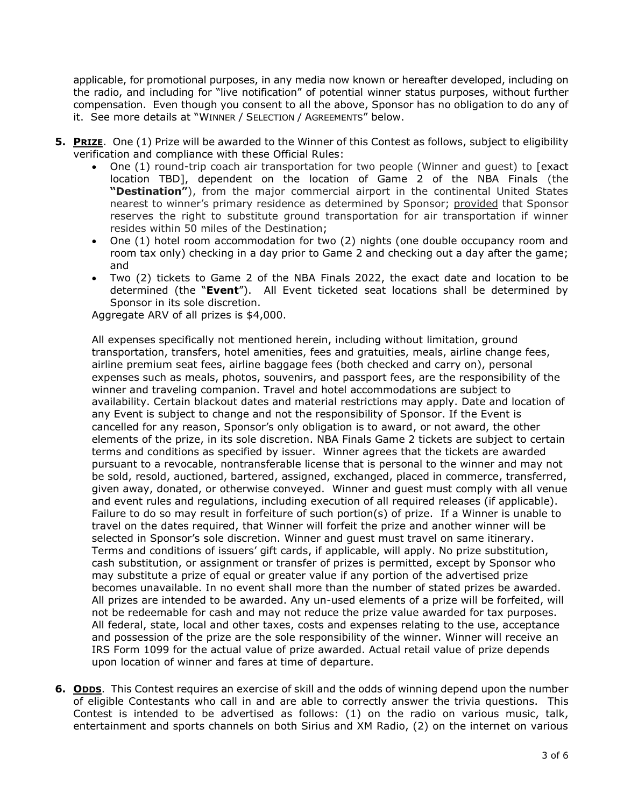applicable, for promotional purposes, in any media now known or hereafter developed, including on the radio, and including for "live notification" of potential winner status purposes, without further compensation. Even though you consent to all the above, Sponsor has no obligation to do any of it. See more details at "WINNER / SELECTION / AGREEMENTS" below.

- **5. PRIZE**. One (1) Prize will be awarded to the Winner of this Contest as follows, subject to eligibility verification and compliance with these Official Rules:
	- One (1) round-trip coach air transportation for two people (Winner and guest) to [exact location TBD], dependent on the location of Game 2 of the NBA Finals (the **"Destination"**), from the major commercial airport in the continental United States nearest to winner's primary residence as determined by Sponsor; provided that Sponsor reserves the right to substitute ground transportation for air transportation if winner resides within 50 miles of the Destination;
	- One (1) hotel room accommodation for two (2) nights (one double occupancy room and room tax only) checking in a day prior to Game 2 and checking out a day after the game; and
	- Two (2) tickets to Game 2 of the NBA Finals 2022, the exact date and location to be determined (the "**Event**"). All Event ticketed seat locations shall be determined by Sponsor in its sole discretion.

Aggregate ARV of all prizes is \$4,000.

All expenses specifically not mentioned herein, including without limitation, ground transportation, transfers, hotel amenities, fees and gratuities, meals, airline change fees, airline premium seat fees, airline baggage fees (both checked and carry on), personal expenses such as meals, photos, souvenirs, and passport fees, are the responsibility of the winner and traveling companion. Travel and hotel accommodations are subject to availability. Certain blackout dates and material restrictions may apply. Date and location of any Event is subject to change and not the responsibility of Sponsor. If the Event is cancelled for any reason, Sponsor's only obligation is to award, or not award, the other elements of the prize, in its sole discretion. NBA Finals Game 2 tickets are subject to certain terms and conditions as specified by issuer. Winner agrees that the tickets are awarded pursuant to a revocable, nontransferable license that is personal to the winner and may not be sold, resold, auctioned, bartered, assigned, exchanged, placed in commerce, transferred, given away, donated, or otherwise conveyed. Winner and guest must comply with all venue and event rules and regulations, including execution of all required releases (if applicable). Failure to do so may result in forfeiture of such portion(s) of prize. If a Winner is unable to travel on the dates required, that Winner will forfeit the prize and another winner will be selected in Sponsor's sole discretion. Winner and guest must travel on same itinerary. Terms and conditions of issuers' gift cards, if applicable, will apply. No prize substitution, cash substitution, or assignment or transfer of prizes is permitted, except by Sponsor who may substitute a prize of equal or greater value if any portion of the advertised prize becomes unavailable. In no event shall more than the number of stated prizes be awarded. All prizes are intended to be awarded. Any un-used elements of a prize will be forfeited, will not be redeemable for cash and may not reduce the prize value awarded for tax purposes. All federal, state, local and other taxes, costs and expenses relating to the use, acceptance and possession of the prize are the sole responsibility of the winner. Winner will receive an IRS Form 1099 for the actual value of prize awarded. Actual retail value of prize depends upon location of winner and fares at time of departure.

**6. ODDS**. This Contest requires an exercise of skill and the odds of winning depend upon the number of eligible Contestants who call in and are able to correctly answer the trivia questions. This Contest is intended to be advertised as follows: (1) on the radio on various music, talk, entertainment and sports channels on both Sirius and XM Radio, (2) on the internet on various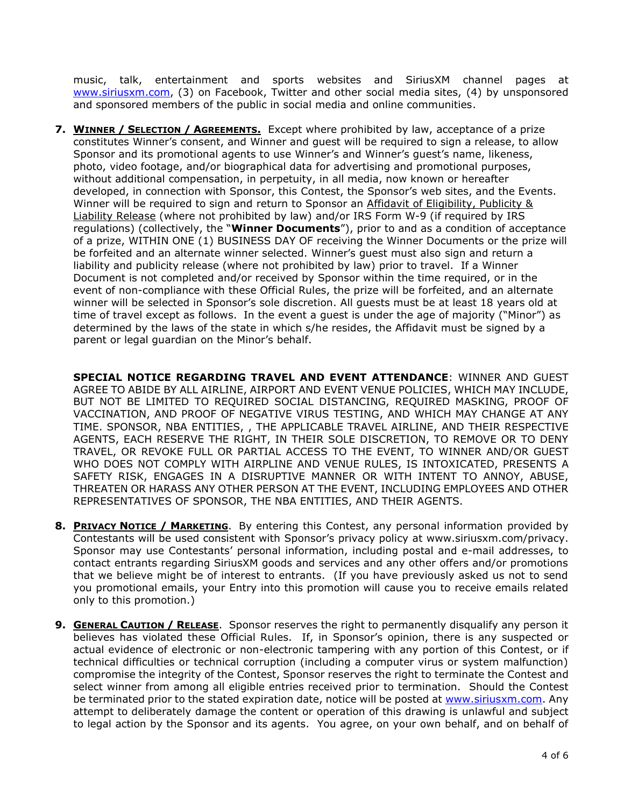music, talk, entertainment and sports websites and SiriusXM channel pages at [www.siriusxm.com,](http://www.siriusxm.com/) (3) on Facebook, Twitter and other social media sites, (4) by unsponsored and sponsored members of the public in social media and online communities.

**7. WINNER / SELECTION / AGREEMENTS.** Except where prohibited by law, acceptance of a prize constitutes Winner's consent, and Winner and guest will be required to sign a release, to allow Sponsor and its promotional agents to use Winner's and Winner's guest's name, likeness, photo, video footage, and/or biographical data for advertising and promotional purposes, without additional compensation, in perpetuity, in all media, now known or hereafter developed, in connection with Sponsor, this Contest, the Sponsor's web sites, and the Events. Winner will be required to sign and return to Sponsor an Affidavit of Eligibility, Publicity & Liability Release (where not prohibited by law) and/or IRS Form W-9 (if required by IRS regulations) (collectively, the "**Winner Documents**"), prior to and as a condition of acceptance of a prize, WITHIN ONE (1) BUSINESS DAY OF receiving the Winner Documents or the prize will be forfeited and an alternate winner selected. Winner's guest must also sign and return a liability and publicity release (where not prohibited by law) prior to travel. If a Winner Document is not completed and/or received by Sponsor within the time required, or in the event of non-compliance with these Official Rules, the prize will be forfeited, and an alternate winner will be selected in Sponsor's sole discretion. All guests must be at least 18 years old at time of travel except as follows. In the event a guest is under the age of majority ("Minor") as determined by the laws of the state in which s/he resides, the Affidavit must be signed by a parent or legal guardian on the Minor's behalf.

**SPECIAL NOTICE REGARDING TRAVEL AND EVENT ATTENDANCE**: WINNER AND GUEST AGREE TO ABIDE BY ALL AIRLINE, AIRPORT AND EVENT VENUE POLICIES, WHICH MAY INCLUDE, BUT NOT BE LIMITED TO REQUIRED SOCIAL DISTANCING, REQUIRED MASKING, PROOF OF VACCINATION, AND PROOF OF NEGATIVE VIRUS TESTING, AND WHICH MAY CHANGE AT ANY TIME. SPONSOR, NBA ENTITIES, , THE APPLICABLE TRAVEL AIRLINE, AND THEIR RESPECTIVE AGENTS, EACH RESERVE THE RIGHT, IN THEIR SOLE DISCRETION, TO REMOVE OR TO DENY TRAVEL, OR REVOKE FULL OR PARTIAL ACCESS TO THE EVENT, TO WINNER AND/OR GUEST WHO DOES NOT COMPLY WITH AIRPLINE AND VENUE RULES, IS INTOXICATED, PRESENTS A SAFETY RISK, ENGAGES IN A DISRUPTIVE MANNER OR WITH INTENT TO ANNOY, ABUSE, THREATEN OR HARASS ANY OTHER PERSON AT THE EVENT, INCLUDING EMPLOYEES AND OTHER REPRESENTATIVES OF SPONSOR, THE NBA ENTITIES, AND THEIR AGENTS.

- **8. PRIVACY NOTICE / MARKETING**. By entering this Contest, any personal information provided by Contestants will be used consistent with Sponsor's privacy policy at www.siriusxm.com/privacy. Sponsor may use Contestants' personal information, including postal and e-mail addresses, to contact entrants regarding SiriusXM goods and services and any other offers and/or promotions that we believe might be of interest to entrants. (If you have previously asked us not to send you promotional emails, your Entry into this promotion will cause you to receive emails related only to this promotion.)
- **9. GENERAL CAUTION / RELEASE.** Sponsor reserves the right to permanently disqualify any person it believes has violated these Official Rules. If, in Sponsor's opinion, there is any suspected or actual evidence of electronic or non-electronic tampering with any portion of this Contest, or if technical difficulties or technical corruption (including a computer virus or system malfunction) compromise the integrity of the Contest, Sponsor reserves the right to terminate the Contest and select winner from among all eligible entries received prior to termination. Should the Contest be terminated prior to the stated expiration date, notice will be posted at [www.siriusxm.com.](http://www.siriusxm.com/) Any attempt to deliberately damage the content or operation of this drawing is unlawful and subject to legal action by the Sponsor and its agents. You agree, on your own behalf, and on behalf of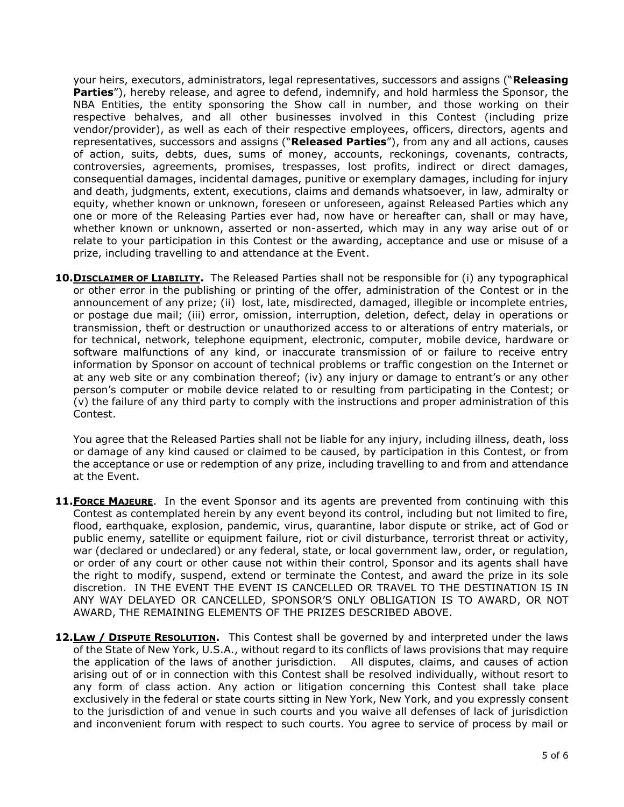your heirs, executors, administrators, legal representatives, successors and assigns ("**Releasing Parties**"), hereby release, and agree to defend, indemnify, and hold harmless the Sponsor, the NBA Entities, the entity sponsoring the Show call in number, and those working on their respective behalves, and all other businesses involved in this Contest (including prize vendor/provider), as well as each of their respective employees, officers, directors, agents and representatives, successors and assigns ("**Released Parties**"), from any and all actions, causes of action, suits, debts, dues, sums of money, accounts, reckonings, covenants, contracts, controversies, agreements, promises, trespasses, lost profits, indirect or direct damages, consequential damages, incidental damages, punitive or exemplary damages, including for injury and death, judgments, extent, executions, claims and demands whatsoever, in law, admiralty or equity, whether known or unknown, foreseen or unforeseen, against Released Parties which any one or more of the Releasing Parties ever had, now have or hereafter can, shall or may have, whether known or unknown, asserted or non-asserted, which may in any way arise out of or relate to your participation in this Contest or the awarding, acceptance and use or misuse of a prize, including travelling to and attendance at the Event.

**10. DISCLAIMER OF LIABILITY.** The Released Parties shall not be responsible for (i) any typographical or other error in the publishing or printing of the offer, administration of the Contest or in the announcement of any prize; (ii) lost, late, misdirected, damaged, illegible or incomplete entries, or postage due mail; (iii) error, omission, interruption, deletion, defect, delay in operations or transmission, theft or destruction or unauthorized access to or alterations of entry materials, or for technical, network, telephone equipment, electronic, computer, mobile device, hardware or software malfunctions of any kind, or inaccurate transmission of or failure to receive entry information by Sponsor on account of technical problems or traffic congestion on the Internet or at any web site or any combination thereof; (iv) any injury or damage to entrant's or any other person's computer or mobile device related to or resulting from participating in the Contest; or (v) the failure of any third party to comply with the instructions and proper administration of this Contest.

You agree that the Released Parties shall not be liable for any injury, including illness, death, loss or damage of any kind caused or claimed to be caused, by participation in this Contest, or from the acceptance or use or redemption of any prize, including travelling to and from and attendance at the Event.

- **11.FORCE MAJEURE**. In the event Sponsor and its agents are prevented from continuing with this Contest as contemplated herein by any event beyond its control, including but not limited to fire, flood, earthquake, explosion, pandemic, virus, quarantine, labor dispute or strike, act of God or public enemy, satellite or equipment failure, riot or civil disturbance, terrorist threat or activity, war (declared or undeclared) or any federal, state, or local government law, order, or regulation, or order of any court or other cause not within their control, Sponsor and its agents shall have the right to modify, suspend, extend or terminate the Contest, and award the prize in its sole discretion. IN THE EVENT THE EVENT IS CANCELLED OR TRAVEL TO THE DESTINATION IS IN ANY WAY DELAYED OR CANCELLED, SPONSOR'S ONLY OBLIGATION IS TO AWARD, OR NOT AWARD, THE REMAINING ELEMENTS OF THE PRIZES DESCRIBED ABOVE.
- **12.LAW / DISPUTE RESOLUTION.** This Contest shall be governed by and interpreted under the laws of the State of New York, U.S.A., without regard to its conflicts of laws provisions that may require the application of the laws of another jurisdiction. All disputes, claims, and causes of action arising out of or in connection with this Contest shall be resolved individually, without resort to any form of class action. Any action or litigation concerning this Contest shall take place exclusively in the federal or state courts sitting in New York, New York, and you expressly consent to the jurisdiction of and venue in such courts and you waive all defenses of lack of jurisdiction and inconvenient forum with respect to such courts. You agree to service of process by mail or